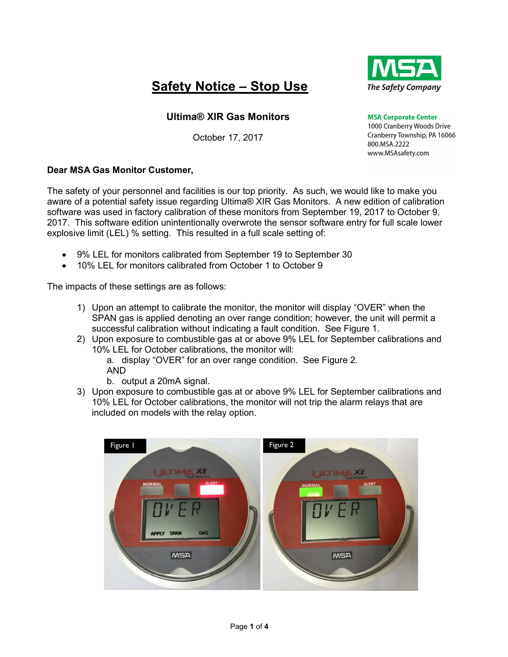# Safety Notice – Stop Use



## Ultima® XIR Gas Monitors

October 17, 2017

**MSA Corporate Center** 1000 Cranberry Woods Drive Cranberry Township, PA 16066 800.MSA.2222 www.MSAsafety.com

### Dear MSA Gas Monitor Customer,

The safety of your personnel and facilities is our top priority. As such, we would like to make you aware of a potential safety issue regarding Ultima® XIR Gas Monitors. A new edition of calibration software was used in factory calibration of these monitors from September 19, 2017 to October 9, 2017. This software edition unintentionally overwrote the sensor software entry for full scale lower explosive limit (LEL) % setting. This resulted in a full scale setting of:

- 9% LEL for monitors calibrated from September 19 to September 30
- 10% LEL for monitors calibrated from October 1 to October 9

The impacts of these settings are as follows:

- 1) Upon an attempt to calibrate the monitor, the monitor will display "OVER" when the SPAN gas is applied denoting an over range condition; however, the unit will permit a successful calibration without indicating a fault condition. See Figure 1.
- 2) Upon exposure to combustible gas at or above 9% LEL for September calibrations and 10% LEL for October calibrations, the monitor will:
	- a. display "OVER" for an over range condition. See Figure 2. AND
	- b. output a 20mA signal.
- 3) Upon exposure to combustible gas at or above 9% LEL for September calibrations and 10% LEL for October calibrations, the monitor will not trip the alarm relays that are included on models with the relay option.

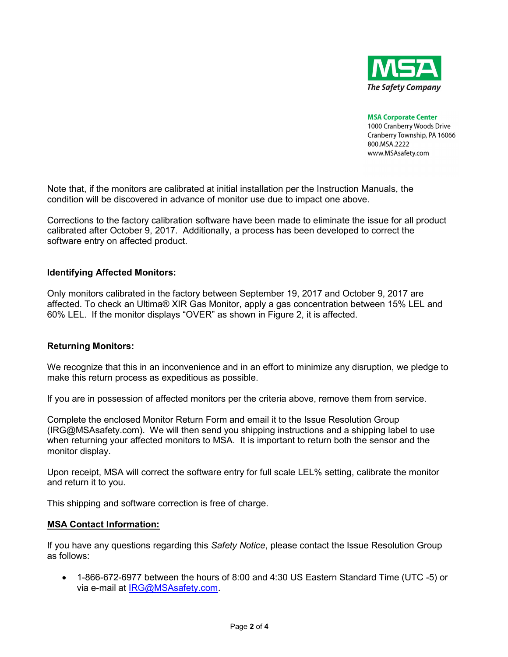

**MSA Corporate Center** 

1000 Cranberry Woods Drive Cranberry Township, PA 16066 800.MSA.2222 www.MSAsafety.com

Note that, if the monitors are calibrated at initial installation per the Instruction Manuals, the condition will be discovered in advance of monitor use due to impact one above.

Corrections to the factory calibration software have been made to eliminate the issue for all product calibrated after October 9, 2017. Additionally, a process has been developed to correct the software entry on affected product.

#### Identifying Affected Monitors:

Only monitors calibrated in the factory between September 19, 2017 and October 9, 2017 are affected. To check an Ultima® XIR Gas Monitor, apply a gas concentration between 15% LEL and 60% LEL. If the monitor displays "OVER" as shown in Figure 2, it is affected.

#### Returning Monitors:

We recognize that this in an inconvenience and in an effort to minimize any disruption, we pledge to make this return process as expeditious as possible.

If you are in possession of affected monitors per the criteria above, remove them from service.

Complete the enclosed Monitor Return Form and email it to the Issue Resolution Group (IRG@MSAsafety.com). We will then send you shipping instructions and a shipping label to use when returning your affected monitors to MSA. It is important to return both the sensor and the monitor display.

Upon receipt, MSA will correct the software entry for full scale LEL% setting, calibrate the monitor and return it to you.

This shipping and software correction is free of charge.

#### MSA Contact Information:

If you have any questions regarding this Safety Notice, please contact the Issue Resolution Group as follows:

 1-866-672-6977 between the hours of 8:00 and 4:30 US Eastern Standard Time (UTC -5) or via e-mail at IRG@MSAsafety.com.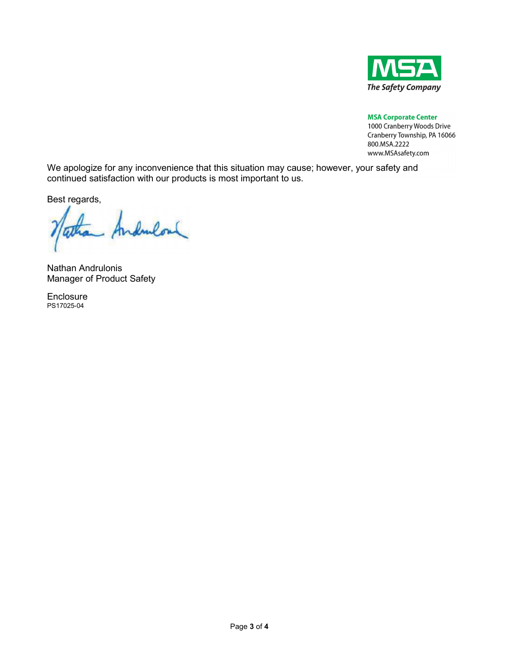

**MSA Corporate Center** 

1000 Cranberry Woods Drive Cranberry Township, PA 16066 800.MSA.2222 www.MSAsafety.com

We apologize for any inconvenience that this situation may cause; however, your safety and continued satisfaction with our products is most important to us.

Best regards,

Andrulou

Nathan Andrulonis Manager of Product Safety

Enclosure PS17025-04